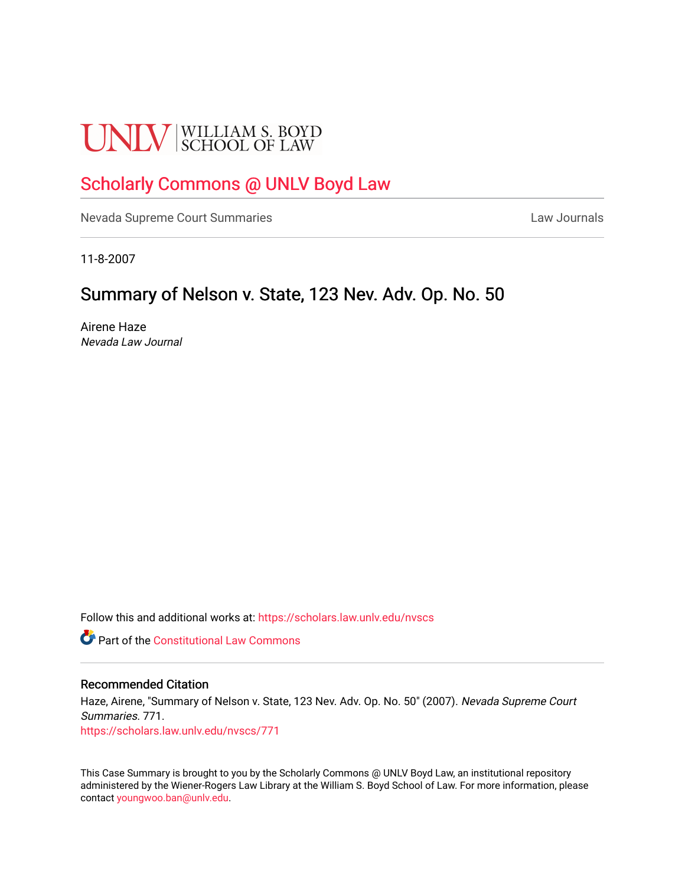# **UNLV** SCHOOL OF LAW

## [Scholarly Commons @ UNLV Boyd Law](https://scholars.law.unlv.edu/)

[Nevada Supreme Court Summaries](https://scholars.law.unlv.edu/nvscs) **Law Journals** Law Journals

11-8-2007

# Summary of Nelson v. State, 123 Nev. Adv. Op. No. 50

Airene Haze Nevada Law Journal

Follow this and additional works at: [https://scholars.law.unlv.edu/nvscs](https://scholars.law.unlv.edu/nvscs?utm_source=scholars.law.unlv.edu%2Fnvscs%2F771&utm_medium=PDF&utm_campaign=PDFCoverPages)

**Part of the Constitutional Law Commons** 

#### Recommended Citation

Haze, Airene, "Summary of Nelson v. State, 123 Nev. Adv. Op. No. 50" (2007). Nevada Supreme Court Summaries. 771. [https://scholars.law.unlv.edu/nvscs/771](https://scholars.law.unlv.edu/nvscs/771?utm_source=scholars.law.unlv.edu%2Fnvscs%2F771&utm_medium=PDF&utm_campaign=PDFCoverPages)

This Case Summary is brought to you by the Scholarly Commons @ UNLV Boyd Law, an institutional repository administered by the Wiener-Rogers Law Library at the William S. Boyd School of Law. For more information, please contact [youngwoo.ban@unlv.edu](mailto:youngwoo.ban@unlv.edu).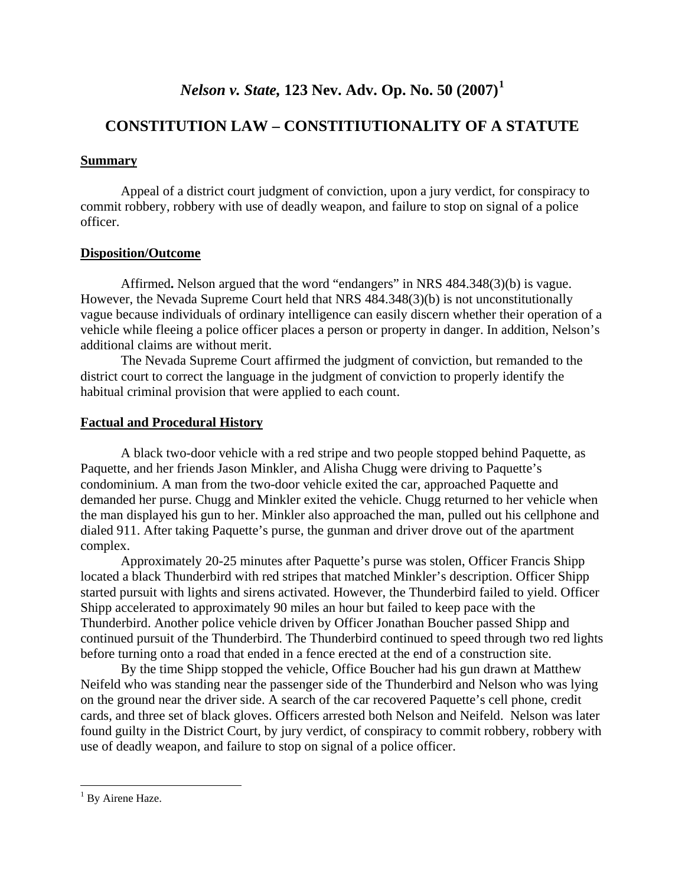## *Nelson v. State,* **123 Nev. Adv. Op. No. 50 (2007)[1](#page-1-0)**

## **CONSTITUTION LAW – CONSTITIUTIONALITY OF A STATUTE**

#### **Summary**

 Appeal of a district court judgment of conviction, upon a jury verdict, for conspiracy to commit robbery, robbery with use of deadly weapon, and failure to stop on signal of a police officer.

#### **Disposition/Outcome**

Affirmed**.** Nelson argued that the word "endangers" in NRS 484.348(3)(b) is vague. However, the Nevada Supreme Court held that NRS 484.348(3)(b) is not unconstitutionally vague because individuals of ordinary intelligence can easily discern whether their operation of a vehicle while fleeing a police officer places a person or property in danger. In addition, Nelson's additional claims are without merit.

The Nevada Supreme Court affirmed the judgment of conviction, but remanded to the district court to correct the language in the judgment of conviction to properly identify the habitual criminal provision that were applied to each count.

#### **Factual and Procedural History**

 A black two-door vehicle with a red stripe and two people stopped behind Paquette, as Paquette, and her friends Jason Minkler, and Alisha Chugg were driving to Paquette's condominium. A man from the two-door vehicle exited the car, approached Paquette and demanded her purse. Chugg and Minkler exited the vehicle. Chugg returned to her vehicle when the man displayed his gun to her. Minkler also approached the man, pulled out his cellphone and dialed 911. After taking Paquette's purse, the gunman and driver drove out of the apartment complex.

 Approximately 20-25 minutes after Paquette's purse was stolen, Officer Francis Shipp located a black Thunderbird with red stripes that matched Minkler's description. Officer Shipp started pursuit with lights and sirens activated. However, the Thunderbird failed to yield. Officer Shipp accelerated to approximately 90 miles an hour but failed to keep pace with the Thunderbird. Another police vehicle driven by Officer Jonathan Boucher passed Shipp and continued pursuit of the Thunderbird. The Thunderbird continued to speed through two red lights before turning onto a road that ended in a fence erected at the end of a construction site.

By the time Shipp stopped the vehicle, Office Boucher had his gun drawn at Matthew Neifeld who was standing near the passenger side of the Thunderbird and Nelson who was lying on the ground near the driver side. A search of the car recovered Paquette's cell phone, credit cards, and three set of black gloves. Officers arrested both Nelson and Neifeld. Nelson was later found guilty in the District Court, by jury verdict, of conspiracy to commit robbery, robbery with use of deadly weapon, and failure to stop on signal of a police officer.

 $\overline{a}$ 

<span id="page-1-0"></span><sup>&</sup>lt;sup>1</sup> By Airene Haze.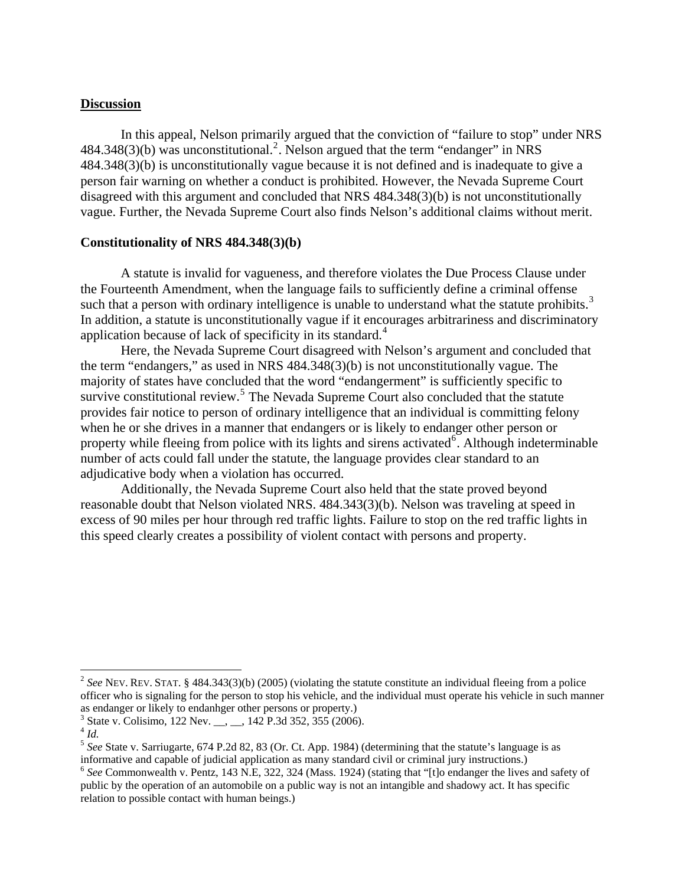#### **Discussion**

In this appeal, Nelson primarily argued that the conviction of "failure to stop" under NRS  $484.348(3)$ (b) was unconstitutional.<sup>[2](#page-2-0)</sup>. Nelson argued that the term "endanger" in NRS 484.348(3)(b) is unconstitutionally vague because it is not defined and is inadequate to give a person fair warning on whether a conduct is prohibited. However, the Nevada Supreme Court disagreed with this argument and concluded that NRS 484.348(3)(b) is not unconstitutionally vague. Further, the Nevada Supreme Court also finds Nelson's additional claims without merit.

#### **Constitutionality of NRS 484.348(3)(b)**

A statute is invalid for vagueness, and therefore violates the Due Process Clause under the Fourteenth Amendment, when the language fails to sufficiently define a criminal offense such that a person with ordinary intelligence is unable to understand what the statute prohibits.<sup>[3](#page-2-1)</sup> In addition, a statute is unconstitutionally vague if it encourages arbitrariness and discriminatory application because of lack of specificity in its standard.<sup>[4](#page-2-2)</sup>

 Here, the Nevada Supreme Court disagreed with Nelson's argument and concluded that the term "endangers," as used in NRS 484.348(3)(b) is not unconstitutionally vague. The majority of states have concluded that the word "endangerment" is sufficiently specific to survive constitutional review.<sup>[5](#page-2-3)</sup> The Nevada Supreme Court also concluded that the statute provides fair notice to person of ordinary intelligence that an individual is committing felony when he or she drives in a manner that endangers or is likely to endanger other person or property while fleeing from police with its lights and sirens activated<sup>[6](#page-2-4)</sup>. Although indeterminable number of acts could fall under the statute, the language provides clear standard to an adjudicative body when a violation has occurred.

Additionally, the Nevada Supreme Court also held that the state proved beyond reasonable doubt that Nelson violated NRS. 484.343(3)(b). Nelson was traveling at speed in excess of 90 miles per hour through red traffic lights. Failure to stop on the red traffic lights in this speed clearly creates a possibility of violent contact with persons and property.

1

<span id="page-2-0"></span><sup>&</sup>lt;sup>2</sup> See NEV. REV. STAT. § 484.343(3)(b) (2005) (violating the statute constitute an individual fleeing from a police officer who is signaling for the person to stop his vehicle, and the individual must operate his vehicle in such manner as endanger or likely to endanhger other persons or property.)

<span id="page-2-1"></span><sup>&</sup>lt;sup>3</sup> State v. Colisimo, 122 Nev. \_\_, \_\_, 142 P.3d 352, 355 (2006).

<span id="page-2-2"></span> $^{4}$  *Id.* 

<span id="page-2-3"></span><sup>5</sup> *See* State v. Sarriugarte, 674 P.2d 82, 83 (Or. Ct. App. 1984) (determining that the statute's language is as informative and capable of judicial application as many standard civil or criminal jury instructions.) 6 *See* Commonwealth v. Pentz, 143 N.E, 322, 324 (Mass. 1924) (stating that "[t]o endanger the lives and safety of

<span id="page-2-4"></span>public by the operation of an automobile on a public way is not an intangible and shadowy act. It has specific relation to possible contact with human beings.)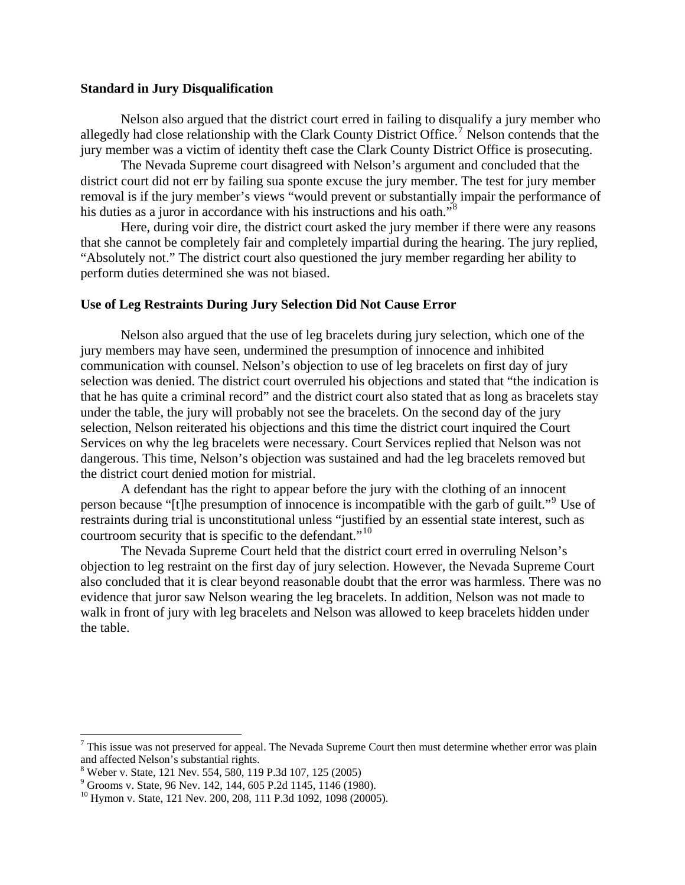#### **Standard in Jury Disqualification**

Nelson also argued that the district court erred in failing to disqualify a jury member who allegedly had close relationship with the Clark County District Office.<sup>[7](#page-3-0)</sup> Nelson contends that the jury member was a victim of identity theft case the Clark County District Office is prosecuting.

 The Nevada Supreme court disagreed with Nelson's argument and concluded that the district court did not err by failing sua sponte excuse the jury member. The test for jury member removal is if the jury member's views "would prevent or substantially impair the performance of his duties as a juror in accordance with his instructions and his oath."<sup>[8](#page-3-1)</sup>

 Here, during voir dire, the district court asked the jury member if there were any reasons that she cannot be completely fair and completely impartial during the hearing. The jury replied, "Absolutely not." The district court also questioned the jury member regarding her ability to perform duties determined she was not biased.

#### **Use of Leg Restraints During Jury Selection Did Not Cause Error**

Nelson also argued that the use of leg bracelets during jury selection, which one of the jury members may have seen, undermined the presumption of innocence and inhibited communication with counsel. Nelson's objection to use of leg bracelets on first day of jury selection was denied. The district court overruled his objections and stated that "the indication is that he has quite a criminal record" and the district court also stated that as long as bracelets stay under the table, the jury will probably not see the bracelets. On the second day of the jury selection, Nelson reiterated his objections and this time the district court inquired the Court Services on why the leg bracelets were necessary. Court Services replied that Nelson was not dangerous. This time, Nelson's objection was sustained and had the leg bracelets removed but the district court denied motion for mistrial.

 A defendant has the right to appear before the jury with the clothing of an innocent person because "[t]he presumption of innocence is incompatible with the garb of guilt."<sup>[9](#page-3-2)</sup> Use of restraints during trial is unconstitutional unless "justified by an essential state interest, such as courtroom security that is specific to the defendant."<sup>[10](#page-3-3)</sup>

 The Nevada Supreme Court held that the district court erred in overruling Nelson's objection to leg restraint on the first day of jury selection. However, the Nevada Supreme Court also concluded that it is clear beyond reasonable doubt that the error was harmless. There was no evidence that juror saw Nelson wearing the leg bracelets. In addition, Nelson was not made to walk in front of jury with leg bracelets and Nelson was allowed to keep bracelets hidden under the table.

 $\overline{a}$ 

<span id="page-3-0"></span> $7$  This issue was not preserved for appeal. The Nevada Supreme Court then must determine whether error was plain and affected Nelson's substantial rights.

<span id="page-3-1"></span><sup>8</sup> Weber v. State, 121 Nev. 554, 580, 119 P.3d 107, 125 (2005)

<span id="page-3-2"></span><sup>9</sup> Grooms v. State, 96 Nev. 142, 144, 605 P.2d 1145, 1146 (1980).

<span id="page-3-3"></span><sup>&</sup>lt;sup>10</sup> Hymon v. State, 121 Nev. 200, 208, 111 P.3d 1092, 1098 (20005).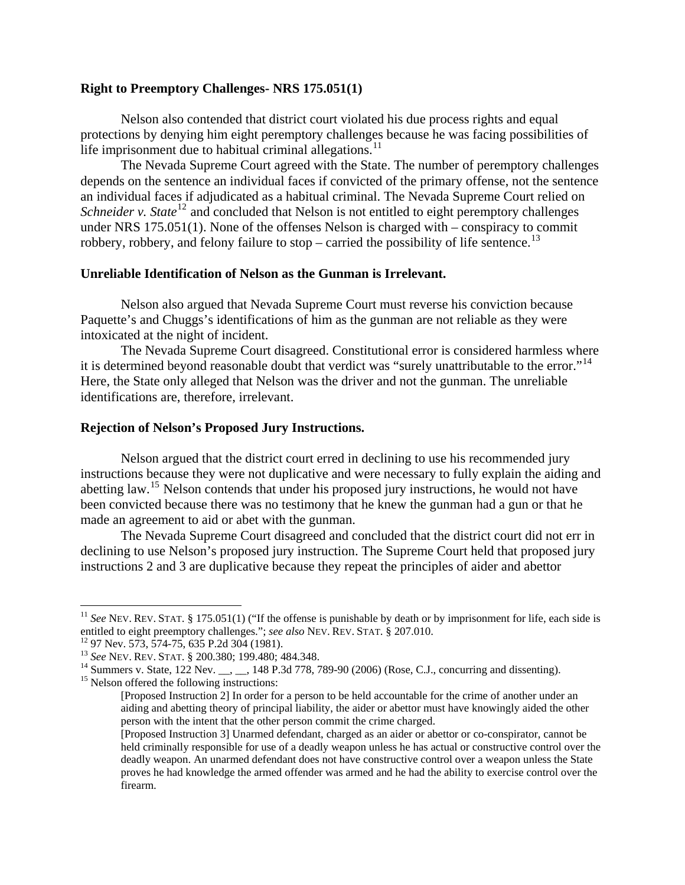#### **Right to Preemptory Challenges- NRS 175.051(1)**

Nelson also contended that district court violated his due process rights and equal protections by denying him eight peremptory challenges because he was facing possibilities of life imprisonment due to habitual criminal allegations.<sup>[11](#page-4-0)</sup>

 The Nevada Supreme Court agreed with the State. The number of peremptory challenges depends on the sentence an individual faces if convicted of the primary offense, not the sentence an individual faces if adjudicated as a habitual criminal. The Nevada Supreme Court relied on *Schneider v. State*<sup>[12](#page-4-1)</sup> and concluded that Nelson is not entitled to eight peremptory challenges under NRS 175.051(1). None of the offenses Nelson is charged with – conspiracy to commit robbery, robbery, and felony failure to stop – carried the possibility of life sentence.<sup>[13](#page-4-2)</sup>

#### **Unreliable Identification of Nelson as the Gunman is Irrelevant.**

Nelson also argued that Nevada Supreme Court must reverse his conviction because Paquette's and Chuggs's identifications of him as the gunman are not reliable as they were intoxicated at the night of incident.

 The Nevada Supreme Court disagreed. Constitutional error is considered harmless where it is determined beyond reasonable doubt that verdict was "surely unattributable to the error."<sup>[14](#page-4-3)</sup> Here, the State only alleged that Nelson was the driver and not the gunman. The unreliable identifications are, therefore, irrelevant.

#### **Rejection of Nelson's Proposed Jury Instructions.**

 Nelson argued that the district court erred in declining to use his recommended jury instructions because they were not duplicative and were necessary to fully explain the aiding and abetting law.<sup>[15](#page-4-4)</sup> Nelson contends that under his proposed jury instructions, he would not have been convicted because there was no testimony that he knew the gunman had a gun or that he made an agreement to aid or abet with the gunman.

 The Nevada Supreme Court disagreed and concluded that the district court did not err in declining to use Nelson's proposed jury instruction. The Supreme Court held that proposed jury instructions 2 and 3 are duplicative because they repeat the principles of aider and abettor

1

<span id="page-4-0"></span><sup>&</sup>lt;sup>11</sup> *See* NEV. REV. STAT. § 175.051(1) ("If the offense is punishable by death or by imprisonment for life, each side is entitled to eight preemptory challenges."; *see also* NEV. REV. STAT. § 207.010.<br><sup>12</sup> 97 Nev. 573, 574-75, 635 P.2d 304 (1981).<br><sup>13</sup> See NEV. REV. STAT. § 200.380; 199.480; 484.348.

<span id="page-4-1"></span>

<span id="page-4-4"></span><span id="page-4-3"></span><span id="page-4-2"></span><sup>&</sup>lt;sup>14</sup> Summers v. State, 122 Nev. \_\_, \_\_, 148 P.3d 778, 789-90 (2006) (Rose, C.J., concurring and dissenting). <sup>15</sup> Nelson offered the following instructions:

<sup>[</sup>Proposed Instruction 2] In order for a person to be held accountable for the crime of another under an aiding and abetting theory of principal liability, the aider or abettor must have knowingly aided the other person with the intent that the other person commit the crime charged.

<sup>[</sup>Proposed Instruction 3] Unarmed defendant, charged as an aider or abettor or co-conspirator, cannot be held criminally responsible for use of a deadly weapon unless he has actual or constructive control over the deadly weapon. An unarmed defendant does not have constructive control over a weapon unless the State proves he had knowledge the armed offender was armed and he had the ability to exercise control over the firearm.